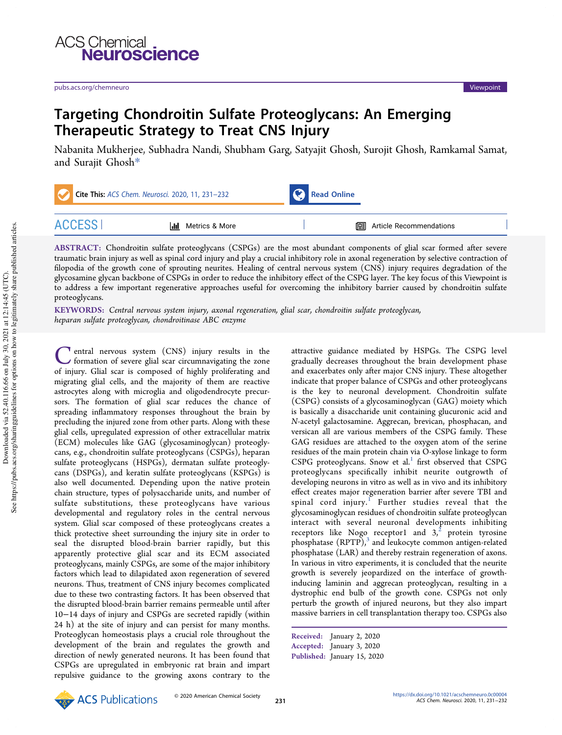



## Targeting Chondroitin Sulfate Proteoglycans: An Emerging Therapeutic Strategy to Treat CNS Injury

Nabanita Mukherjee, Subhadra Nandi, Shubham Garg, Satyajit Ghosh, Surojit Ghosh, Ramkamal Samat, and Surajit Ghosh\*

| Cite This: ACS Chem. Neurosci. 2020, 11, 231-232 |                          | <b>Read Online</b> |                                  |  |
|--------------------------------------------------|--------------------------|--------------------|----------------------------------|--|
| <b>ACCESS</b>                                    | <b>II</b> Metrics & More |                    | <b>国</b> Article Recommendations |  |

ABSTRACT: Chondroitin sulfate proteoglycans (CSPGs) are the most abundant components of glial scar formed after severe traumatic brain injury as well as spinal cord injury and play a crucial inhibitory role in axonal regeneration by selective contraction of filopodia of the growth cone of sprouting neurites. Healing of central nervous system (CNS) injury requires degradation of the glycosamine glycan backbone of CSPGs in order to reduce the inhibitory effect of the CSPG layer. The key focus of this Viewpoint is to address a few important regenerative approaches useful for overcoming the inhibitory barrier caused by chondroitin sulfate proteoglycans.

KEYWORDS: Central nervous system injury, axonal regeneration, glial scar, chondroitin sulfate proteoglycan, heparan sulfate proteoglycan, chondroitinase ABC enzyme

C entral nervous system (CNS) injury results in the formation of severe glial scar circumnavigating the zone of injury. Glial scar is composed of highly proliferating and entral nervous system (CNS) injury results in the formation of severe glial scar circumnavigating the zone migrating glial cells, and the majority of them are reactive astrocytes along with microglia and oligodendrocyte precursors. The formation of glial scar reduces the chance of spreading inflammatory responses throughout the brain by precluding the injured zone from other parts. Along with these glial cells, upregulated expression of other extracellular matrix (ECM) molecules like GAG (glycosaminoglycan) proteoglycans, e.g., chondroitin sulfate proteoglycans (CSPGs), heparan sulfate proteoglycans (HSPGs), dermatan sulfate proteoglycans (DSPGs), and keratin sulfate proteoglycans (KSPGs) is also well documented. Depending upon the native protein chain structure, types of polysaccharide units, and number of sulfate substitutions, these proteoglycans have various developmental and regulatory roles in the central nervous system. Glial scar composed of these proteoglycans creates a thick protective sheet surrounding the injury site in order to seal the disrupted blood-brain barrier rapidly, but this apparently protective glial scar and its ECM associated proteoglycans, mainly CSPGs, are some of the major inhibitory factors which lead to dilapidated axon regeneration of severed neurons. Thus, treatment of CNS injury becomes complicated due to these two contrasting factors. It has been observed that the disrupted blood-brain barrier remains permeable until after 10−14 days of injury and CSPGs are secreted rapidly (within 24 h) at the site of injury and can persist for many months. Proteoglycan homeostasis plays a crucial role throughout the development of the brain and regulates the growth and direction of newly generated neurons. It has been found that CSPGs are upregulated in embryonic rat brain and impart repulsive guidance to the growing axons contrary to the

attractive guidance mediated by HSPGs. The CSPG level gradually decreases throughout the brain development phase and exacerbates only after major CNS injury. These altogether indicate that proper balance of CSPGs and other proteoglycans is the key to neuronal development. Chondroitin sulfate (CSPG) consists of a glycosaminoglycan (GAG) moiety which is basically a disaccharide unit containing glucuronic acid and N-acetyl galactosamine. Aggrecan, brevican, phosphacan, and versican all are various members of the CSPG family. These GAG residues are attached to the oxygen atom of the serine residues of the main protein chain via O-xylose linkage to form CSPG proteoglycans. Snow et al.<sup>1</sup> first observed that CSPG proteoglycans specifically inhibit neurite outgrowth of developing neurons in vitro as well as in vivo and its inhibitory effect creates major regeneration barrier after severe TBI and spinal cord injury. Further studies reveal that the glycosaminoglycan residues of chondroitin sulfate proteoglycan interact with several neuronal developments inhibiting receptors like Nogo receptor1 and  $3<sup>2</sup>$  protein tyrosine phosphatase (RPTP),<sup>3</sup> and leukocyte common antigen-related phosphatase (LAR) and thereby restrain regeneration of axons. In various in vitro experiments, it is concluded that the neurite growth is severely jeopardized on the interface of growthinducing laminin and aggrecan proteoglycan, resulting in a dystrophic end bulb of the growth cone. CSPGs not only perturb the growth of injured neurons, but they also impart massive barriers in cell transplantation therapy too. CSPGs also



Received: January 2, 2020

Accepted: January 3, 2020

Published: January 15, 2020